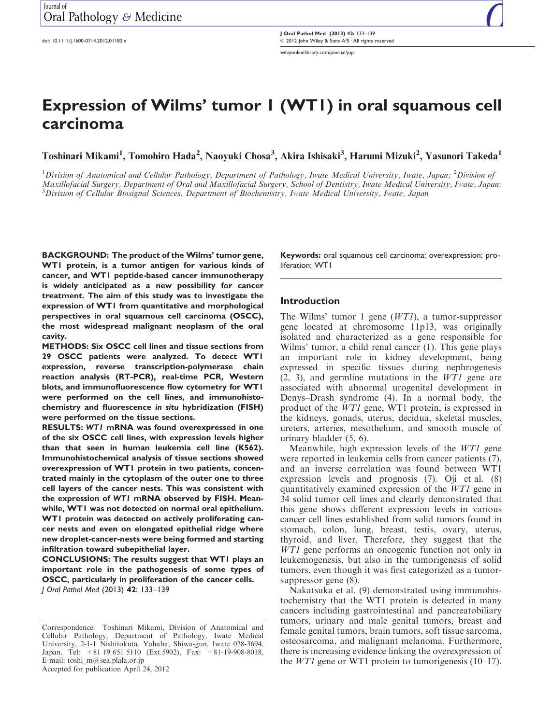doi: 10.1111/j.1600-0714.2012.01182.x

J Oral Pathol Med (2013) 42: 133–139 <sup>©</sup> 2012 John Wiley & Sons A/S · All rights reserved wileyonlinelibrary.com/journal/jop

# Expression of Wilms' tumor 1 (WT1) in oral squamous cell carcinoma

Toshinari Mikami<sup>1</sup>, Tomohiro Hada<sup>2</sup>, Naoyuki Chosa<sup>3</sup>, Akira Ishisaki<sup>3</sup>, Harumi Mizuki<sup>2</sup>, Yasunori Takeda<sup>1</sup>

<sup>1</sup>Division of Anatomical and Cellular Pathology, Department of Pathology, Iwate Medical University, Iwate, Japan;  $^2$ Division of Maxillofacial Surgery, Department of Oral and Maxillofacial Surgery, School of Dentistry, Iwate Medical University, Iwate, Japan; <sup>3</sup> Division of Cellular Biosignal Sciences, Department of Biochemistry, Iwate Medical University, Iwate, Japan

BACKGROUND: The product of the Wilms' tumor gene, WTI protein, is a tumor antigen for various kinds of cancer, and WT1 peptide-based cancer immunotherapy is widely anticipated as a new possibility for cancer treatment. The aim of this study was to investigate the expression of WT1 from quantitative and morphological perspectives in oral squamous cell carcinoma (OSCC), the most widespread malignant neoplasm of the oral cavity.

METHODS: Six OSCC cell lines and tissue sections from 29 OSCC patients were analyzed. To detect WT1 expression, reverse transcription-polymerase chain reaction analysis (RT-PCR), real-time PCR, Western blots, and immunofluorescence flow cytometry for WT1 were performed on the cell lines, and immunohistochemistry and fluorescence in situ hybridization (FISH) were performed on the tissue sections.

RESULTS: WT1 mRNA was found overexpressed in one of the six OSCC cell lines, with expression levels higher than that seen in human leukemia cell line (K562). Immunohistochemical analysis of tissue sections showed overexpression of WT1 protein in two patients, concentrated mainly in the cytoplasm of the outer one to three cell layers of the cancer nests. This was consistent with the expression of WT1 mRNA observed by FISH. Meanwhile, WT1 was not detected on normal oral epithelium. WTI protein was detected on actively proliferating cancer nests and even on elongated epithelial ridge where new droplet-cancer-nests were being formed and starting infiltration toward subepithelial layer.

CONCLUSIONS: The results suggest that WT1 plays an important role in the pathogenesis of some types of OSCC, particularly in proliferation of the cancer cells. J Oral Pathol Med (2013) 42: 133–139

Keywords: oral squamous cell carcinoma; overexpression; proliferation; WT1

#### Introduction

The Wilms' tumor 1 gene  $(WTI)$ , a tumor-suppressor gene located at chromosome 11p13, was originally isolated and characterized as a gene responsible for Wilms' tumor, a child renal cancer (1). This gene plays an important role in kidney development, being expressed in specific tissues during nephrogenesis (2, 3), and germline mutations in the WT1 gene are associated with abnormal urogenital development in Denys–Drash syndrome (4). In a normal body, the product of the WT1 gene, WT1 protein, is expressed in the kidneys, gonads, uterus, decidua, skeletal muscles, ureters, arteries, mesothelium, and smooth muscle of urinary bladder (5, 6).

Meanwhile, high expression levels of the WT1 gene were reported in leukemia cells from cancer patients (7), and an inverse correlation was found between WT1 expression levels and prognosis (7). Oji et al. (8) quantitatively examined expression of the WT1 gene in 34 solid tumor cell lines and clearly demonstrated that this gene shows different expression levels in various cancer cell lines established from solid tumors found in stomach, colon, lung, breast, testis, ovary, uterus, thyroid, and liver. Therefore, they suggest that the WT1 gene performs an oncogenic function not only in leukemogenesis, but also in the tumorigenesis of solid tumors, even though it was first categorized as a tumorsuppressor gene (8).

Nakatsuka et al. (9) demonstrated using immunohistochemistry that the WT1 protein is detected in many cancers including gastrointestinal and pancreatobiliary tumors, urinary and male genital tumors, breast and female genital tumors, brain tumors, soft tissue sarcoma, osteosarcoma, and malignant melanoma. Furthermore, there is increasing evidence linking the overexpression of the *WT1* gene or WT1 protein to tumorigenesis  $(10-17)$ .

Correspondence: Toshinari Mikami, Division of Anatomical and Cellular Pathology, Department of Pathology, Iwate Medical University, 2-1-1 Nishitokuta, Yahaba, Shiwa-gun, Iwate 028-3694, Japan. Tel: +81 19 651 5110 (Ext.5902), Fax: +81-19-908-8018, E-mail: toshi\_m@sea.plala.or.jp Accepted for publication April 24, 2012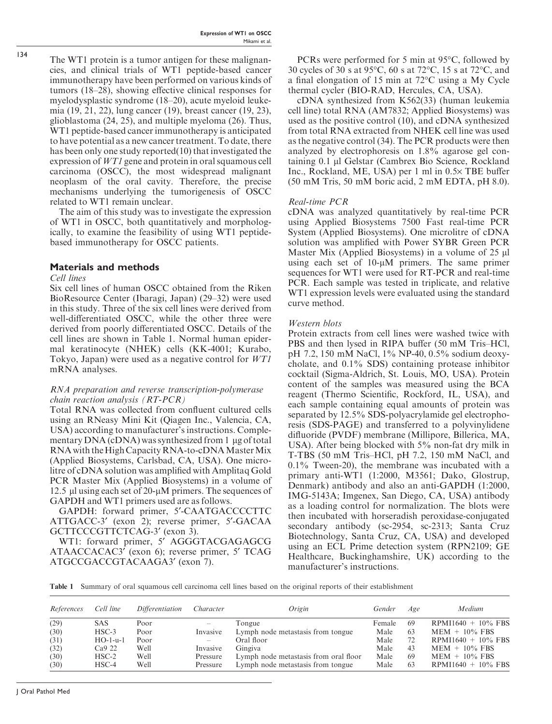The WT1 protein is a tumor antigen for these malignancies, and clinical trials of WT1 peptide-based cancer immunotherapy have been performed on various kinds of tumors (18–28), showing effective clinical responses for myelodysplastic syndrome (18–20), acute myeloid leukemia (19, 21, 22), lung cancer (19), breast cancer (19, 23), glioblastoma (24, 25), and multiple myeloma (26). Thus, WT1 peptide-based cancer immunotherapy is anticipated to have potential as a new cancer treatment. To date, there has been only one study reported(10) that investigated the expression of WT1 gene and protein in oral squamous cell carcinoma (OSCC), the most widespread malignant neoplasm of the oral cavity. Therefore, the precise mechanisms underlying the tumorigenesis of OSCC related to WT1 remain unclear.

The aim of this study was to investigate the expression of WT1 in OSCC, both quantitatively and morphologically, to examine the feasibility of using WT1 peptidebased immunotherapy for OSCC patients.

# Materials and methods

## Cell lines

Six cell lines of human OSCC obtained from the Riken BioResource Center (Ibaragi, Japan) (29–32) were used in this study. Three of the six cell lines were derived from well-differentiated OSCC, while the other three were derived from poorly differentiated OSCC. Details of the cell lines are shown in Table 1. Normal human epidermal keratinocyte (NHEK) cells (KK-4001; Kurabo, Tokyo, Japan) were used as a negative control for WT1 mRNA analyses.

#### RNA preparation and reverse transcription-polymerase chain reaction analysis (RT-PCR)

Total RNA was collected from confluent cultured cells using an RNeasy Mini Kit (Qiagen Inc., Valencia, CA, USA) according to manufacturer's instructions. Complementary  $DNA$  (cDNA) was synthesized from 1 µg of total RNA with the High Capacity RNA-to-cDNA Master Mix (Applied Biosystems, Carlsbad, CA, USA). One microlitre of cDNA solution was amplified with Amplitaq Gold PCR Master Mix (Applied Biosystems) in a volume of 12.5  $\mu$ l using each set of 20- $\mu$ M primers. The sequences of GAPDH and WT1 primers used are as follows.

GAPDH: forward primer, 5¢-CAATGACCCCTTC ATTGACC-3' (exon 2); reverse primer, 5'-GACAA GCTTCCCGTTCTCAG-3' (exon 3).

WT1: forward primer, 5' AGGGTACGAGAGCG ATAACCACAC3' (exon 6); reverse primer, 5' TCAG ATGCCGACCGTACAAGA3' (exon 7).

PCRs were performed for 5 min at  $95^{\circ}$ C, followed by 30 cycles of 30 s at 95 $\degree$ C, 60 s at 72 $\degree$ C, 15 s at 72 $\degree$ C, and a final elongation of  $15 \text{ min}$  at  $72^{\circ}\text{C}$  using a My Cycle thermal cycler (BIO-RAD, Hercules, CA, USA).

cDNA synthesized from K562(33) (human leukemia cell line) total RNA (AM7832; Applied Biosystems) was used as the positive control (10), and cDNA synthesized from total RNA extracted from NHEK cell line was used as the negative control (34). The PCR products were then analyzed by electrophoresis on 1.8% agarose gel containing 0.1 µl Gelstar (Cambrex Bio Science, Rockland Inc., Rockland, ME, USA) per 1 ml in  $0.5 \times$  TBE buffer (50 mM Tris, 50 mM boric acid, 2 mM EDTA, pH 8.0).

## Real-time PCR

cDNA was analyzed quantitatively by real-time PCR using Applied Biosystems 7500 Fast real-time PCR System (Applied Biosystems). One microlitre of cDNA solution was amplified with Power SYBR Green PCR Master Mix (Applied Biosystems) in a volume of  $25 \mu$ using each set of  $10\nu M$  primers. The same primer sequences for WT1 were used for RT-PCR and real-time PCR. Each sample was tested in triplicate, and relative WT1 expression levels were evaluated using the standard curve method.

## Western blots

Protein extracts from cell lines were washed twice with PBS and then lysed in RIPA buffer (50 mM Tris–HCl, pH 7.2, 150 mM NaCl, 1% NP-40, 0.5% sodium deoxycholate, and 0.1% SDS) containing protease inhibitor cocktail (Sigma-Aldrich, St. Louis, MO, USA). Protein content of the samples was measured using the BCA reagent (Thermo Scientific, Rockford, IL, USA), and each sample containing equal amounts of protein was separated by 12.5% SDS-polyacrylamide gel electrophoresis (SDS-PAGE) and transferred to a polyvinylidene difluoride (PVDF) membrane (Millipore, Billerica, MA, USA). After being blocked with 5% non-fat dry milk in T-TBS (50 mM Tris–HCl, pH 7.2, 150 mM NaCl, and 0.1% Tween-20), the membrane was incubated with a primary anti-WT1 (1:2000, M3561; Dako, Glostrup, Denmark) antibody and also an anti-GAPDH (1:2000, IMG-5143A; Imgenex, San Diego, CA, USA) antibody as a loading control for normalization. The blots were then incubated with horseradish peroxidase-conjugated secondary antibody (sc-2954, sc-2313; Santa Cruz Biotechnology, Santa Cruz, CA, USA) and developed using an ECL Prime detection system (RPN2109; GE Healthcare, Buckinghamshire, UK) according to the manufacturer's instructions.

Table 1 Summary of oral squamous cell carcinoma cell lines based on the original reports of their establishment

| References | Cell line          | Differentiation | Character         | Origin                                | Gender | Age | Medium                |
|------------|--------------------|-----------------|-------------------|---------------------------------------|--------|-----|-----------------------|
| (29)       | <b>SAS</b>         | Poor            | $\qquad \qquad -$ | Tongue                                | Female | -69 | $RPMI1640 + 10\%$ FBS |
| (30)       | $HSC-3$            | Poor            | Invasive          | Lymph node metastasis from tongue     | Male   | -63 | $MEM + 10\%$ FBS      |
| (31)       | $HO-1-u-1$         | Poor            | —                 | Oral floor-                           | Male   | 72  | $RPMI1640 + 10\%$ FBS |
| (32)       | Ca <sub>9</sub> 22 | Well            | Invasive          | Gingiva                               | Male   | 43  | $MEM + 10\%$ FBS      |
| (30)       | $HSC-2$            | Well            | Pressure          | Lymph node metastasis from oral floor | Male   | -69 | $MEM + 10\%$ FBS      |
| (30)       | $HSC-4$            | Well            | Pressure          | Lymph node metastasis from tongue     | Male   | 63  | $RPMI1640 + 10\%$ FBS |

134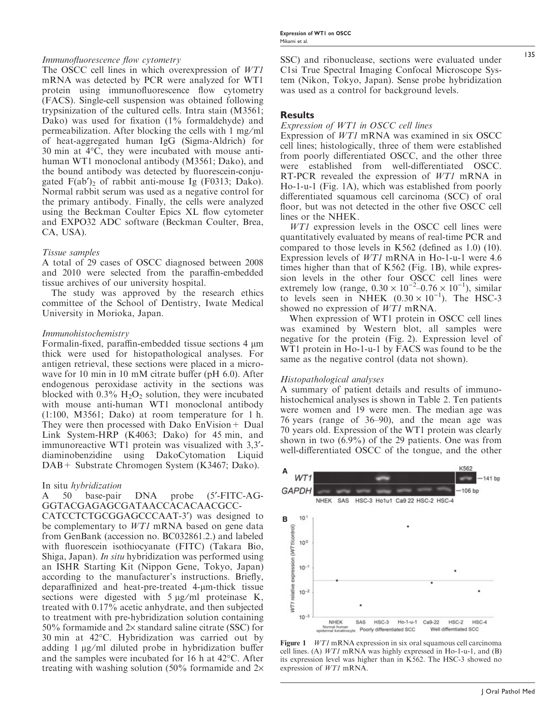# Immunofluorescence flow cytometry

The OSCC cell lines in which overexpression of WT1 mRNA was detected by PCR were analyzed for WT1 protein using immunofluorescence flow cytometry (FACS). Single-cell suspension was obtained following trypsinization of the cultured cells. Intra stain (M3561; Dako) was used for fixation (1% formaldehyde) and permeabilization. After blocking the cells with 1 mg/ml of heat-aggregated human IgG (Sigma-Aldrich) for  $30 \text{ min}$  at  $4^{\circ}\text{C}$ , they were incubated with mouse antihuman WT1 monoclonal antibody (M3561; Dako), and the bound antibody was detected by fluorescein-conjugated  $F(ab')_2$  of rabbit anti-mouse Ig (F0313; Dako). Normal rabbit serum was used as a negative control for the primary antibody. Finally, the cells were analyzed using the Beckman Coulter Epics XL flow cytometer and EXPO32 ADC software (Beckman Coulter, Brea, CA, USA).

# Tissue samples

A total of 29 cases of OSCC diagnosed between 2008 and 2010 were selected from the paraffin-embedded tissue archives of our university hospital.

The study was approved by the research ethics committee of the School of Dentistry, Iwate Medical University in Morioka, Japan.

#### Immunohistochemistry

Formalin-fixed, paraffin-embedded tissue sections 4  $\mu$ m thick were used for histopathological analyses. For antigen retrieval, these sections were placed in a microwave for 10 min in 10 mM citrate buffer (pH 6.0). After endogenous peroxidase activity in the sections was blocked with  $0.3\%$  H<sub>2</sub>O<sub>2</sub> solution, they were incubated with mouse anti-human WT1 monoclonal antibody (1:100, M3561; Dako) at room temperature for 1 h. They were then processed with Dako  $EnVision + Dual$ Link System-HRP (K4063; Dako) for 45 min, and immunoreactive WT1 protein was visualized with 3,3¢ diaminobenzidine using DakoCytomation Liquid DAB+ Substrate Chromogen System (K3467; Dako).

#### In situ hybridization

#### A 50 base-pair DNA probe (5'-FITC-AG-GGTACGAGAGCGATAACCACACAACGCC-

CATCCTCTGCGGAGCCCAAT-3<sup>'</sup>) was designed to be complementary to *WT1* mRNA based on gene data from GenBank (accession no. BC032861.2.) and labeled with fluorescein isothiocyanate (FITC) (Takara Bio, Shiga, Japan). In situ hybridization was performed using an ISHR Starting Kit (Nippon Gene, Tokyo, Japan) according to the manufacturer's instructions. Briefly, deparaffinized and heat-pre-treated 4-µm-thick tissue sections were digested with  $5 \mu g/ml$  proteinase K, treated with 0.17% acetic anhydrate, and then subjected to treatment with pre-hybridization solution containing 50% formamide and  $2\times$  standard saline citrate (SSC) for 30 min at 42°C. Hybridization was carried out by adding  $1 \mu g/ml$  diluted probe in hybridization buffer and the samples were incubated for  $16$  h at  $42^{\circ}$ C. After treating with washing solution (50% formamide and  $2\times$  SSC) and ribonuclease, sections were evaluated under C1si True Spectral Imaging Confocal Microscope System (Nikon, Tokyo, Japan). Sense probe hybridization was used as a control for background levels.

## **Results**

#### Expression of WT1 in OSCC cell lines

Expression of WT1 mRNA was examined in six OSCC cell lines; histologically, three of them were established from poorly differentiated OSCC, and the other three were established from well-differentiated OSCC. RT-PCR revealed the expression of WT1 mRNA in Ho-1-u-1 (Fig. 1A), which was established from poorly differentiated squamous cell carcinoma (SCC) of oral floor, but was not detected in the other five OSCC cell lines or the NHEK.

WT1 expression levels in the OSCC cell lines were quantitatively evaluated by means of real-time PCR and compared to those levels in K562 (defined as 1.0) (10). Expression levels of WT1 mRNA in Ho-1-u-1 were 4.6 times higher than that of K562 (Fig. 1B), while expression levels in the other four OSCC cell lines were extremely low (range,  $0.30 \times 10^{-2} - 0.76 \times 10^{-1}$ ), similar to levels seen in NHEK  $(0.30 \times 10^{-1})$ . The HSC-3 showed no expression of WT1 mRNA.

When expression of WT1 protein in OSCC cell lines was examined by Western blot, all samples were negative for the protein (Fig. 2). Expression level of WT1 protein in Ho-1-u-1 by FACS was found to be the same as the negative control (data not shown).

#### Histopathological analyses

A summary of patient details and results of immunohistochemical analyses is shown in Table 2. Ten patients were women and 19 were men. The median age was 76 years (range of 36–90), and the mean age was 70 years old. Expression of the WT1 protein was clearly shown in two (6.9%) of the 29 patients. One was from well-differentiated OSCC of the tongue, and the other



Figure 1 WT1 mRNA expression in six oral squamous cell carcinoma cell lines. (A)  $WT1$  mRNA was highly expressed in Ho-1-u-1, and (B) its expression level was higher than in K562. The HSC-3 showed no expression of WT1 mRNA.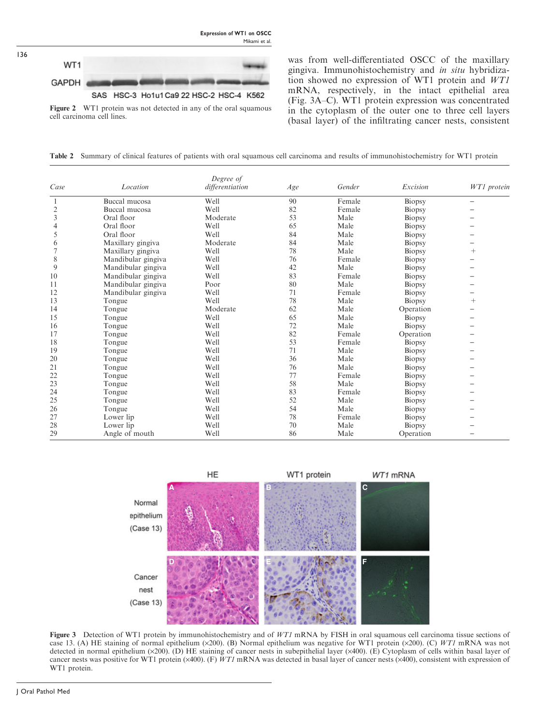

136

Figure 2 WT1 protein was not detected in any of the oral squamous cell carcinoma cell lines.

was from well-differentiated OSCC of the maxillary gingiva. Immunohistochemistry and in situ hybridization showed no expression of WT1 protein and WT1 mRNA, respectively, in the intact epithelial area (Fig. 3A–C). WT1 protein expression was concentrated in the cytoplasm of the outer one to three cell layers (basal layer) of the infiltrating cancer nests, consistent

Table 2 Summary of clinical features of patients with oral squamous cell carcinoma and results of immunohistochemistry for WT1 protein

| Case           | Location           | Degree of<br>differentiation | Age | Gender | Excision  | WT1 protein |
|----------------|--------------------|------------------------------|-----|--------|-----------|-------------|
|                | Buccal mucosa      | Well                         | 90  | Female | Biopsy    |             |
| $\overline{c}$ | Buccal mucosa      | Well                         | 82  | Female | Biopsy    |             |
| 3              | Oral floor         | Moderate                     | 53  | Male   | Biopsy    |             |
| 4              | Oral floor         | Well                         | 65  | Male   | Biopsy    |             |
| 5              | Oral floor         | Well                         | 84  | Male   | Biopsy    |             |
| 6              | Maxillary gingiva  | Moderate                     | 84  | Male   | Biopsy    |             |
|                | Maxillary gingiva  | Well                         | 78  | Male   | Biopsy    | $^{+}$      |
| 8              | Mandibular gingiva | Well                         | 76  | Female | Biopsy    |             |
| 9              | Mandibular gingiva | Well                         | 42  | Male   | Biopsy    |             |
| 10             | Mandibular gingiva | Well                         | 83  | Female | Biopsy    |             |
| 11             | Mandibular gingiva | Poor                         | 80  | Male   | Biopsy    |             |
| 12             | Mandibular gingiva | Well                         | 71  | Female | Biopsy    |             |
| 13             | Tongue             | Well                         | 78  | Male   | Biopsy    | $^{+}$      |
| 14             | Tongue             | Moderate                     | 62  | Male   | Operation |             |
| 15             | Tongue             | Well                         | 65  | Male   | Biopsy    |             |
| 16             | Tongue             | Well                         | 72  | Male   | Biopsy    |             |
| 17             | Tongue             | Well                         | 82  | Female | Operation |             |
| 18             | Tongue             | Well                         | 53  | Female | Biopsy    |             |
| 19             | Tongue             | Well                         | 71  | Male   | Biopsy    |             |
| 20             | Tongue             | Well                         | 36  | Male   | Biopsy    |             |
| 21             | Tongue             | Well                         | 76  | Male   | Biopsy    |             |
| 22             | Tongue             | Well                         | 77  | Female | Biopsy    |             |
| 23             | Tongue             | Well                         | 58  | Male   | Biopsy    |             |
| 24             | Tongue             | Well                         | 83  | Female | Biopsy    |             |
| 25             | Tongue             | Well                         | 52  | Male   | Biopsy    |             |
| 26             | Tongue             | Well                         | 54  | Male   | Biopsy    |             |
| 27             | Lower lip          | Well                         | 78  | Female | Biopsy    |             |
| 28             | Lower lip          | Well                         | 70  | Male   | Biopsy    |             |
| 29             | Angle of mouth     | Well                         | 86  | Male   | Operation |             |



Figure 3 Detection of WT1 protein by immunohistochemistry and of WT1 mRNA by FISH in oral squamous cell carcinoma tissue sections of case 13. (A) HE staining of normal epithelium ( $\times$ 200). (B) Normal epithelium was negative for WT1 protein ( $\times$ 200). (C) WT1 mRNA was not detected in normal epithelium  $(x200)$ . (D) HE staining of cancer nests in subepithelial layer  $(x400)$ . (E) Cytoplasm of cells within basal layer of cancer nests was positive for WT1 protein ( $\times$ 400). (F) WT1 mRNA was detected in basal layer of cancer nests ( $\times$ 400), consistent with expression of WT1 protein.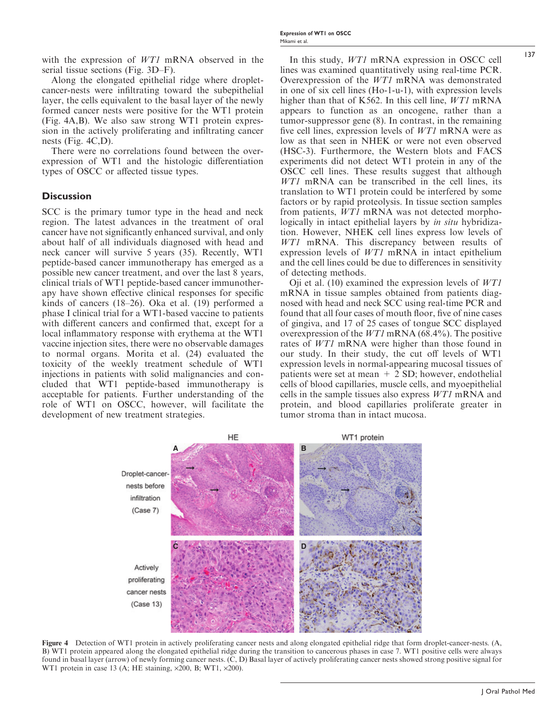with the expression of *WT1* mRNA observed in the serial tissue sections (Fig. 3D–F).

Along the elongated epithelial ridge where dropletcancer-nests were infiltrating toward the subepithelial layer, the cells equivalent to the basal layer of the newly formed cancer nests were positive for the WT1 protein (Fig. 4A,B). We also saw strong WT1 protein expression in the actively proliferating and infiltrating cancer nests (Fig. 4C,D).

There were no correlations found between the overexpression of WT1 and the histologic differentiation types of OSCC or affected tissue types.

#### **Discussion**

SCC is the primary tumor type in the head and neck region. The latest advances in the treatment of oral cancer have not significantly enhanced survival, and only about half of all individuals diagnosed with head and neck cancer will survive 5 years (35). Recently, WT1 peptide-based cancer immunotherapy has emerged as a possible new cancer treatment, and over the last 8 years, clinical trials of WT1 peptide-based cancer immunotherapy have shown effective clinical responses for specific kinds of cancers (18–26). Oka et al. (19) performed a phase I clinical trial for a WT1-based vaccine to patients with different cancers and confirmed that, except for a local inflammatory response with erythema at the WT1 vaccine injection sites, there were no observable damages to normal organs. Morita et al. (24) evaluated the toxicity of the weekly treatment schedule of WT1 injections in patients with solid malignancies and concluded that WT1 peptide-based immunotherapy is acceptable for patients. Further understanding of the role of WT1 on OSCC, however, will facilitate the development of new treatment strategies.

In this study, WT1 mRNA expression in OSCC cell lines was examined quantitatively using real-time PCR. Overexpression of the WT1 mRNA was demonstrated in one of six cell lines (Ho-1-u-1), with expression levels higher than that of K562. In this cell line, *WT1* mRNA appears to function as an oncogene, rather than a tumor-suppressor gene (8). In contrast, in the remaining five cell lines, expression levels of WT1 mRNA were as low as that seen in NHEK or were not even observed (HSC-3). Furthermore, the Western blots and FACS experiments did not detect WT1 protein in any of the OSCC cell lines. These results suggest that although WT1 mRNA can be transcribed in the cell lines, its translation to WT1 protein could be interfered by some factors or by rapid proteolysis. In tissue section samples from patients, WT1 mRNA was not detected morphologically in intact epithelial layers by *in situ* hybridization. However, NHEK cell lines express low levels of WT1 mRNA. This discrepancy between results of expression levels of WT1 mRNA in intact epithelium and the cell lines could be due to differences in sensitivity of detecting methods.

Oji et al. (10) examined the expression levels of  $WT1$ mRNA in tissue samples obtained from patients diagnosed with head and neck SCC using real-time PCR and found that all four cases of mouth floor, five of nine cases of gingiva, and 17 of 25 cases of tongue SCC displayed overexpression of the WT1 mRNA (68.4%). The positive rates of WT1 mRNA were higher than those found in our study. In their study, the cut off levels of WT1 expression levels in normal-appearing mucosal tissues of patients were set at mean + 2 SD; however, endothelial cells of blood capillaries, muscle cells, and myoepithelial cells in the sample tissues also express WT1 mRNA and protein, and blood capillaries proliferate greater in tumor stroma than in intact mucosa.



Figure 4 Detection of WT1 protein in actively proliferating cancer nests and along elongated epithelial ridge that form droplet-cancer-nests. (A, B) WT1 protein appeared along the elongated epithelial ridge during the transition to cancerous phases in case 7. WT1 positive cells were always found in basal layer (arrow) of newly forming cancer nests. (C, D) Basal layer of actively proliferating cancer nests showed strong positive signal for WT1 protein in case 13 (A; HE staining,  $\times 200$ , B; WT1,  $\times 200$ ).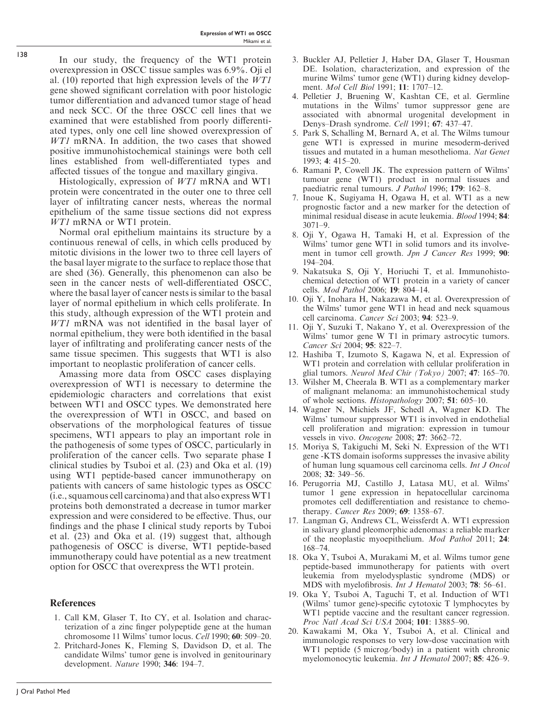In our study, the frequency of the WT1 protein overexpression in OSCC tissue samples was 6.9%. Oji el al. (10) reported that high expression levels of the WT1 gene showed significant correlation with poor histologic tumor differentiation and advanced tumor stage of head and neck SCC. Of the three OSCC cell lines that we examined that were established from poorly differentiated types, only one cell line showed overexpression of WT1 mRNA. In addition, the two cases that showed positive immunohistochemical stainings were both cell lines established from well-differentiated types and affected tissues of the tongue and maxillary gingiva.

Histologically, expression of WT1 mRNA and WT1 protein were concentrated in the outer one to three cell layer of infiltrating cancer nests, whereas the normal epithelium of the same tissue sections did not express WT1 mRNA or WT1 protein.

Normal oral epithelium maintains its structure by a continuous renewal of cells, in which cells produced by mitotic divisions in the lower two to three cell layers of the basal layer migrate to the surface to replace those that are shed (36). Generally, this phenomenon can also be seen in the cancer nests of well-differentiated OSCC, where the basal layer of cancer nests is similar to the basal layer of normal epithelium in which cells proliferate. In this study, although expression of the WT1 protein and WT1 mRNA was not identified in the basal layer of normal epithelium, they were both identified in the basal layer of infiltrating and proliferating cancer nests of the same tissue specimen. This suggests that WT1 is also important to neoplastic proliferation of cancer cells.

Amassing more data from OSCC cases displaying overexpression of WT1 is necessary to determine the epidemiologic characters and correlations that exist between WT1 and OSCC types. We demonstrated here the overexpression of WT1 in OSCC, and based on observations of the morphological features of tissue specimens, WT1 appears to play an important role in the pathogenesis of some types of OSCC, particularly in proliferation of the cancer cells. Two separate phase I clinical studies by Tsuboi et al. (23) and Oka et al. (19) using WT1 peptide-based cancer immunotherapy on patients with cancers of same histologic types as OSCC (i.e., squamous cell carcinoma) and that also express WT1 proteins both demonstrated a decrease in tumor marker expression and were considered to be effective. Thus, our findings and the phase I clinical study reports by Tuboi et al. (23) and Oka et al. (19) suggest that, although pathogenesis of OSCC is diverse, WT1 peptide-based immunotherapy could have potential as a new treatment option for OSCC that overexpress the WT1 protein.

# References

- 1. Call KM, Glaser T, Ito CY, et al. Isolation and characterization of a zinc finger polypeptide gene at the human chromosome 11 Wilms' tumor locus. Cell 1990; 60: 509–20.
- 2. Pritchard-Jones K, Fleming S, Davidson D, et al. The candidate Wilms' tumor gene is involved in genitourinary development. Nature 1990; 346: 194–7.
- 3. Buckler AJ, Pelletier J, Haber DA, Glaser T, Housman DE. Isolation, characterization, and expression of the murine Wilms' tumor gene (WT1) during kidney development. Mol Cell Biol 1991; 11: 1707–12.
- 4. Pelletier J, Bruening W, Kashtan CE, et al. Germline mutations in the Wilms' tumor suppressor gene are associated with abnormal urogenital development in Denys–Drash syndrome. Cell 1991; 67: 437–47.
- 5. Park S, Schalling M, Bernard A, et al. The Wilms tumour gene WT1 is expressed in murine mesoderm-derived tissues and mutated in a human mesothelioma. Nat Genet 1993; 4: 415–20.
- 6. Ramani P, Cowell JK. The expression pattern of Wilms' tumour gene (WT1) product in normal tissues and paediatric renal tumours. J Pathol 1996; 179: 162-8.
- 7. Inoue K, Sugiyama H, Ogawa H, et al. WT1 as a new prognostic factor and a new marker for the detection of minimal residual disease in acute leukemia. Blood 1994; 84: 3071–9.
- 8. Oji Y, Ogawa H, Tamaki H, et al. Expression of the Wilms' tumor gene WT1 in solid tumors and its involvement in tumor cell growth. *Jpn J Cancer Res* 1999; 90: 194–204.
- 9. Nakatsuka S, Oji Y, Horiuchi T, et al. Immunohistochemical detection of WT1 protein in a variety of cancer cells. Mod Pathol 2006; 19: 804–14.
- 10. Oji Y, Inohara H, Nakazawa M, et al. Overexpression of the Wilms' tumor gene WT1 in head and neck squamous cell carcinoma. Cancer Sci 2003; 94: 523–9.
- 11. Oji Y, Suzuki T, Nakano Y, et al. Overexpression of the Wilms' tumor gene W T1 in primary astrocytic tumors. Cancer Sci 2004; 95: 822–7.
- 12. Hashiba T, Izumoto S, Kagawa N, et al. Expression of WT1 protein and correlation with cellular proliferation in glial tumors. Neurol Med Chir (Tokyo) 2007; 47: 165–70.
- 13. Wilsher M, Cheerala B. WT1 as a complementary marker of malignant melanoma: an immunohistochemical study of whole sections. Histopathology 2007; 51: 605–10.
- 14. Wagner N, Michiels JF, Schedl A, Wagner KD. The Wilms' tumour suppressor WT1 is involved in endothelial cell proliferation and migration: expression in tumour vessels in vivo. Oncogene 2008; 27: 3662–72.
- 15. Moriya S, Takiguchi M, Seki N. Expression of the WT1 gene -KTS domain isoforms suppresses the invasive ability of human lung squamous cell carcinoma cells. Int J Oncol 2008; 32: 349–56.
- 16. Perugorria MJ, Castillo J, Latasa MU, et al. Wilms' tumor 1 gene expression in hepatocellular carcinoma promotes cell dedifferentiation and resistance to chemotherapy. Cancer Res 2009; 69: 1358–67.
- 17. Langman G, Andrews CL, Weissferdt A. WT1 expression in salivary gland pleomorphic adenomas: a reliable marker of the neoplastic myoepithelium. Mod Pathol 2011; 24: 168–74.
- 18. Oka Y, Tsuboi A, Murakami M, et al. Wilms tumor gene peptide-based immunotherapy for patients with overt leukemia from myelodysplastic syndrome (MDS) or MDS with myelofibrosis. Int J Hematol 2003; 78: 56–61.
- 19. Oka Y, Tsuboi A, Taguchi T, et al. Induction of WT1 (Wilms' tumor gene)-specific cytotoxic T lymphocytes by WT1 peptide vaccine and the resultant cancer regression. Proc Natl Acad Sci USA 2004; 101: 13885–90.
- 20. Kawakami M, Oka Y, Tsuboi A, et al. Clinical and immunologic responses to very low-dose vaccination with WT1 peptide (5 microg/body) in a patient with chronic myelomonocytic leukemia. Int J Hematol 2007; 85: 426–9.